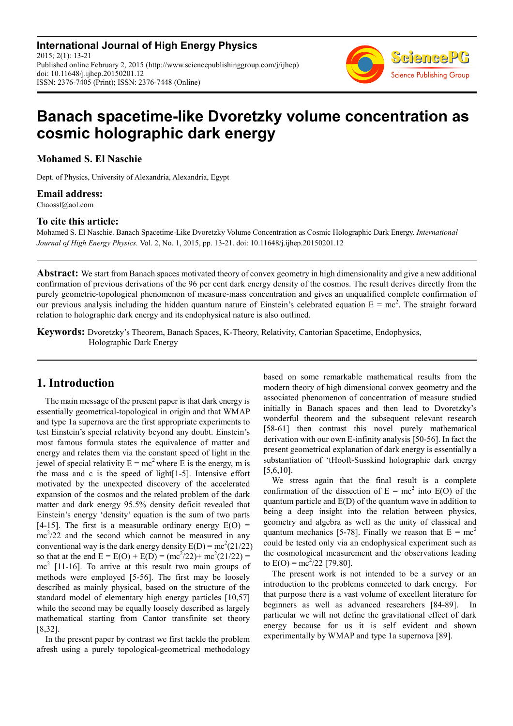**International Journal of High Energy Physics** 2015; 2(1): 13-21 Published online February 2, 2015 (http://www.sciencepublishinggroup.com/j/ijhep) doi: 10.11648/j.ijhep.20150201.12 ISSN: 2376-7405 (Print); ISSN: 2376-7448 (Online)



# **Banach spacetime-like Dvoretzky volume concentration as cosmic holographic dark energy**

**Mohamed S. El Naschie** 

Dept. of Physics, University of Alexandria, Alexandria, Egypt

### **Email address:**

Chaossf@aol.com

### **To cite this article:**

Mohamed S. El Naschie. Banach Spacetime-Like Dvoretzky Volume Concentration as Cosmic Holographic Dark Energy. *International Journal of High Energy Physics.* Vol. 2, No. 1, 2015, pp. 13-21. doi: 10.11648/j.ijhep.20150201.12

**Abstract:** We start from Banach spaces motivated theory of convex geometry in high dimensionality and give a new additional confirmation of previous derivations of the 96 per cent dark energy density of the cosmos. The result derives directly from the purely geometric-topological phenomenon of measure-mass concentration and gives an unqualified complete confirmation of our previous analysis including the hidden quantum nature of Einstein's celebrated equation  $E = mc^2$ . The straight forward relation to holographic dark energy and its endophysical nature is also outlined.

**Keywords:** Dvoretzky's Theorem, Banach Spaces, K-Theory, Relativity, Cantorian Spacetime, Endophysics, Holographic Dark Energy

# **1. Introduction**

The main message of the present paper is that dark energy is essentially geometrical-topological in origin and that WMAP and type 1a supernova are the first appropriate experiments to test Einstein's special relativity beyond any doubt. Einstein's most famous formula states the equivalence of matter and energy and relates them via the constant speed of light in the jewel of special relativity  $E = mc^2$  where E is the energy, m is the mass and c is the speed of light[1-5]. Intensive effort motivated by the unexpected discovery of the accelerated expansion of the cosmos and the related problem of the dark matter and dark energy 95.5% density deficit revealed that Einstein's energy 'density' equation is the sum of two parts [4-15]. The first is a measurable ordinary energy  $E(O) =$  $mc^2/22$  and the second which cannot be measured in any conventional way is the dark energy density  $E(D) = mc^2(21/22)$ so that at the end  $E = E(O) + E(D) = (mc^2/22) + mc^2(21/22) =$  $mc<sup>2</sup>$  [11-16]. To arrive at this result two main groups of methods were employed [5-56]. The first may be loosely described as mainly physical, based on the structure of the standard model of elementary high energy particles [10,57] while the second may be equally loosely described as largely mathematical starting from Cantor transfinite set theory [8,32].

In the present paper by contrast we first tackle the problem afresh using a purely topological-geometrical methodology

based on some remarkable mathematical results from the modern theory of high dimensional convex geometry and the associated phenomenon of concentration of measure studied initially in Banach spaces and then lead to Dvoretzky's wonderful theorem and the subsequent relevant research [58-61] then contrast this novel purely mathematical derivation with our own E-infinity analysis [50-56]. In fact the present geometrical explanation of dark energy is essentially a substantiation of 'tHooft-Susskind holographic dark energy [5,6,10].

We stress again that the final result is a complete confirmation of the dissection of  $E = mc^2$  into  $E(O)$  of the quantum particle and E(D) of the quantum wave in addition to being a deep insight into the relation between physics, geometry and algebra as well as the unity of classical and quantum mechanics [5-78]. Finally we reason that  $E = mc^2$ could be tested only via an endophysical experiment such as the cosmological measurement and the observations leading to  $E(O) = mc^2/22$  [79,80].

The present work is not intended to be a survey or an introduction to the problems connected to dark energy. For that purpose there is a vast volume of excellent literature for beginners as well as advanced researchers [84-89]. In particular we will not define the gravitational effect of dark energy because for us it is self evident and shown experimentally by WMAP and type 1a supernova [89].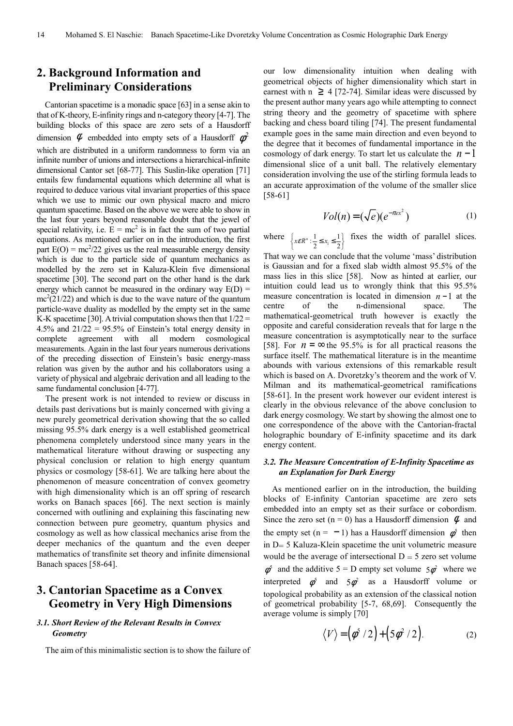# **2. Background Information and Preliminary Considerations**

Cantorian spacetime is a monadic space [63] in a sense akin to that of K-theory, E-infinity rings and n-category theory [4-7]. The building blocks of this space are zero sets of a Hausdorff dimension  $\phi$  embedded into empty sets of a Hausdorff  $\phi^2$ which are distributed in a uniform randomness to form via an infinite number of unions and intersections a hierarchical-infinite dimensional Cantor set [68-77]. This Suslin-like operation [71] entails few fundamental equations which determine all what is required to deduce various vital invariant properties of this space which we use to mimic our own physical macro and micro quantum spacetime. Based on the above we were able to show in the last four years beyond reasonable doubt that the jewel of special relativity, i.e.  $E = mc^2$  is in fact the sum of two partial equations. As mentioned earlier on in the introduction, the first part  $E(O) = mc^2/22$  gives us the real measurable energy density which is due to the particle side of quantum mechanics as modelled by the zero set in Kaluza-Klein five dimensional spacetime [30]. The second part on the other hand is the dark energy which cannot be measured in the ordinary way  $E(D) =$  $mc<sup>2</sup>(21/22)$  and which is due to the wave nature of the quantum particle-wave duality as modelled by the empty set in the same K-K spacetime [30]. A trivial computation shows then that  $1/22 =$ 4.5% and  $21/22 = 95.5\%$  of Einstein's total energy density in complete agreement with all modern cosmological measurements. Again in the last four years numerous derivations of the preceding dissection of Einstein's basic energy-mass relation was given by the author and his collaborators using a variety of physical and algebraic derivation and all leading to the same fundamental conclusion [4-77].

The present work is not intended to review or discuss in details past derivations but is mainly concerned with giving a new purely geometrical derivation showing that the so called missing 95.5% dark energy is a well established geometrical phenomena completely understood since many years in the mathematical literature without drawing or suspecting any physical conclusion or relation to high energy quantum physics or cosmology [58-61]. We are talking here about the phenomenon of measure concentration of convex geometry with high dimensionality which is an off spring of research works on Banach spaces [66]. The next section is mainly concerned with outlining and explaining this fascinating new connection between pure geometry, quantum physics and cosmology as well as how classical mechanics arise from the deeper mechanics of the quantum and the even deeper mathematics of transfinite set theory and infinite dimensional Banach spaces [58-64].

## **3. Cantorian Spacetime as a Convex Geometry in Very High Dimensions**

#### *3.1. Short Review of the Relevant Results in Convex Geometry*

The aim of this minimalistic section is to show the failure of

our low dimensionality intuition when dealing with geometrical objects of higher dimensionality which start in earnest with  $n \geq 4$  [72-74]. Similar ideas were discussed by the present author many years ago while attempting to connect string theory and the geometry of spacetime with sphere backing and chess board tiling [74]. The present fundamental example goes in the same main direction and even beyond to the degree that it becomes of fundamental importance in the cosmology of dark energy. To start let us calculate the  $n-1$ dimensional slice of a unit ball. The relatively elementary consideration involving the use of the stirling formula leads to an accurate approximation of the volume of the smaller slice [58-61]

$$
Vol(n) = (\sqrt{e})(e^{-\pi ex^2})
$$
 (1)

where  $\left\{ x \in \mathbb{R}^n : \frac{1}{2} \le x_1 \le \frac{1}{2} \right\}$  fixes the width of parallel slices.

That way we can conclude that the volume 'mass' distribution is Gaussian and for a fixed slab width almost 95.5% of the mass lies in this slice [58]. Now as hinted at earlier, our intuition could lead us to wrongly think that this 95.5% measure concentration is located in dimension  $n-1$  at the centre of the n-dimensional space. The centre of the n-dimensional space. The mathematical-geometrical truth however is exactly the opposite and careful consideration reveals that for large n the measure concentration is asymptotically near to the surface [58]. For  $n = \infty$  the 95.5% is for all practical reasons the surface itself. The mathematical literature is in the meantime abounds with various extensions of this remarkable result which is based on A. Dvoretzky's theorem and the work of V. Milman and its mathematical-geometrical ramifications [58-61]. In the present work however our evident interest is clearly in the obvious relevance of the above conclusion to dark energy cosmology. We start by showing the almost one to one correspondence of the above with the Cantorian-fractal holographic boundary of E-infinity spacetime and its dark energy content.

#### *3.2. The Measure Concentration of E-Infinity Spacetime as an Explanation for Dark Energy*

As mentioned earlier on in the introduction, the building blocks of E-infinity Cantorian spacetime are zero sets embedded into an empty set as their surface or cobordism. Since the zero set (n = 0) has a Hausdorff dimension  $\phi$  and the empty set (n = -1) has a Hausdorff dimension  $\phi^5$  then in D= 5 Kaluza-Klein spacetime the unit volumetric measure would be the average of intersectional  $D = 5$  zero set volume  $\phi^5$  and the additive 5 = D empty set volume  $5\phi^2$  where we interpreted  $\phi^5$  and  $5\phi^2$  as a Hausdorff volume or topological probability as an extension of the classical notion of geometrical probability [5-7, 68,69]. Consequently the average volume is simply [70]

$$
\langle V \rangle = \left( \phi^5 / 2 \right) + \left( 5 \phi^2 / 2 \right). \tag{2}
$$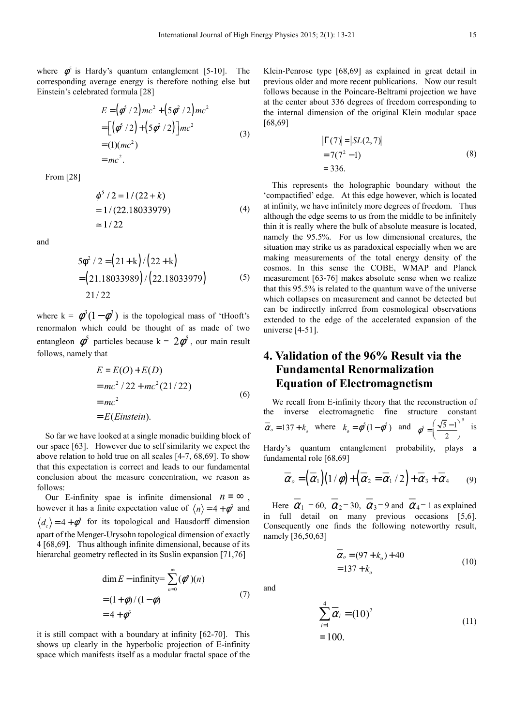where  $\phi^5$  is Hardy's quantum entanglement [5-10]. The corresponding average energy is therefore nothing else but Einstein's celebrated formula [28]

$$
E = (\phi^5 / 2)mc^2 + (5\phi^2 / 2)mc^2
$$
  
= 
$$
[(\phi^5 / 2) + (5\phi^2 / 2)]mc^2
$$
  
= 
$$
(1)(mc^2)
$$
  
= 
$$
mc^2
$$
. (3)

From [28]

$$
\phi^5 / 2 = 1/(22 + k)
$$
  
= 1/(22.18033979) (4)  
= 1/22

and

$$
5\phi^2 / 2 = (21 + k) / (22 + k)
$$
  
= (21.18033989) / (22.18033979) (5)  
21/22

where  $k = \phi^3(1-\phi^3)$  is the topological mass of 'tHooft's renormalon which could be thought of as made of two entangleon  $\phi^5$  particles because k =  $2\phi^5$ , our main result follows, namely that

$$
E = E(O) + E(D)
$$
  
=  $mc^2 / 22 + mc^2 (21/22)$   
=  $mc^2$   
=  $E(Einstein)$ . (6)

So far we have looked at a single monadic building block of our space [63]. However due to self similarity we expect the above relation to hold true on all scales [4-7, 68,69]. To show that this expectation is correct and leads to our fundamental conclusion about the measure concentration, we reason as follows:

Our E-infinity spae is infinite dimensional  $n = \infty$ , however it has a finite expectation value of  $\langle n \rangle = 4 + \phi^3$  and  $d_c$  = 4 +  $\phi$ <sup>3</sup> for its topological and Hausdorff dimension apart of the Menger-Urysohn topological dimension of exactly 4 [68,69]. Thus although infinite dimensional, because of its hierarchal geometry reflected in its Suslin expansion [71,76]

$$
\dim E - \infinity = \sum_{n=0}^{\infty} (\phi^n)(n)
$$
  
=  $(1 + \phi) / (1 - \phi)$  (7)  
=  $4 + \phi^3$ 

it is still compact with a boundary at infinity [62-70]. This shows up clearly in the hyperbolic projection of E-infinity space which manifests itself as a modular fractal space of the Klein-Penrose type [68,69] as explained in great detail in previous older and more recent publications. Now our result follows because in the Poincare-Beltrami projection we have at the center about 336 degrees of freedom corresponding to the internal dimension of the original Klein modular space [68,69]

$$
|\Gamma(7)| = |SL(2, 7)|
$$
  
= 7(7<sup>2</sup> - 1)  
= 336. (8)

This represents the holographic boundary without the 'compactified' edge. At this edge however, which is located at infinity, we have infinitely more degrees of freedom. Thus although the edge seems to us from the middle to be infinitely thin it is really where the bulk of absolute measure is located, namely the 95.5%. For us low dimensional creatures, the situation may strike us as paradoxical especially when we are making measurements of the total energy density of the cosmos. In this sense the COBE, WMAP and Planck measurement [63-76] makes absolute sense when we realize that this 95.5% is related to the quantum wave of the universe which collapses on measurement and cannot be detected but can be indirectly inferred from cosmological observations extended to the edge of the accelerated expansion of the universe [4-51].

# **4. Validation of the 96% Result via the Fundamental Renormalization Equation of Electromagnetism**

We recall from E-infinity theory that the reconstruction of the inverse electromagnetic fine structure constant  $\overline{\alpha}_o = 137 + k_o$  where  $k_o = \phi^5 (1 - \phi^5)$  and  $\phi^5 = \frac{\sqrt{5 - 1}}{2}$ 2 ſ l  $\backslash$ J  $\frac{5}{1}$ 

Hardy's quantum entanglement probability, plays a fundamental role [68,69]

$$
\overline{\alpha}_o = (\overline{\alpha}_1)(1/\phi) + (\overline{\alpha}_2 = \overline{\alpha}_1/2) + \overline{\alpha}_3 + \overline{\alpha}_4
$$
 (9)

Here  $\alpha_1 = 60$ ,  $\alpha_2 = 30$ ,  $\alpha_3 = 9$  and  $\alpha_4 = 1$  as explained in full detail on many previous occasions [5,6]. Consequently one finds the following noteworthy result, namely [36,50,63]

$$
\overline{\alpha}_o = (97 + k_o) + 40
$$
  
= 137 + k<sub>o</sub> (10)

and

$$
\sum_{i=1}^{4} \overline{\alpha}_{i} = (10)^{2}
$$
  
= 100. (11)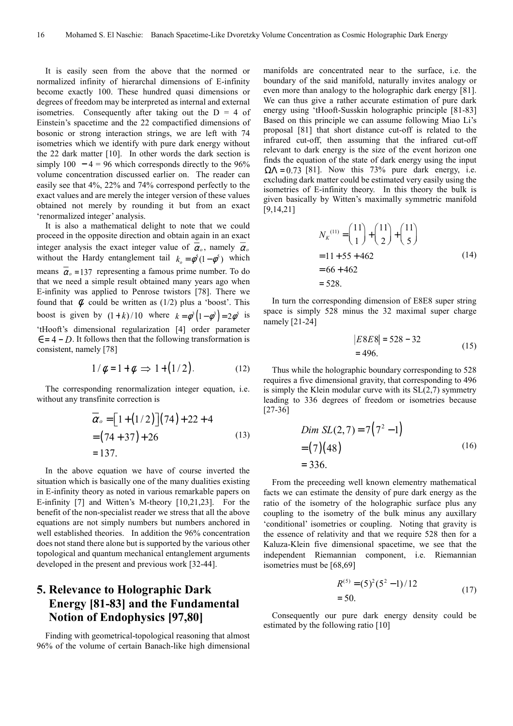It is easily seen from the above that the normed or normalized infinity of hierarchal dimensions of E-infinity become exactly 100. These hundred quasi dimensions or degrees of freedom may be interpreted as internal and external isometries. Consequently after taking out the  $D = 4$  of Einstein's spacetime and the 22 compactified dimensions of bosonic or strong interaction strings, we are left with 74 isometries which we identify with pure dark energy without the 22 dark matter [10]. In other words the dark section is simply 100  $-4 = 96$  which corresponds directly to the 96% volume concentration discussed earlier on. The reader can easily see that 4%, 22% and 74% correspond perfectly to the exact values and are merely the integer version of these values obtained not merely by rounding it but from an exact 'renormalized integer' analysis.

It is also a mathematical delight to note that we could proceed in the opposite direction and obtain again in an exact integer analysis the exact integer value of  $\alpha_o$ , namely  $\alpha_o$ without the Hardy entanglement tail  $k_o = \phi^5 (1 - \phi^5)$  which means  $\alpha_{0} = 137$  representing a famous prime number. To do that we need a simple result obtained many years ago when E-infinity was applied to Penrose twistors [78]. There we found that  $\phi$  could be written as (1/2) plus a 'boost'. This boost is given by  $(1+k)/10$  where  $k = \phi^3(1-\phi^3) = 2\phi^5$  is 'tHooft's dimensional regularization [4] order parameter  $\epsilon = 4 - D$ . It follows then that the following transformation is consistent, namely [78]

$$
1/\phi = 1 + \phi \Rightarrow 1 + (1/2). \tag{12}
$$

The corresponding renormalization integer equation, i.e. without any transfinite correction is

$$
\overline{\alpha}_o = [1 + (1/2)](74) + 22 + 4
$$
  
= (74 + 37) + 26 (13)  
= 137.

In the above equation we have of course inverted the situation which is basically one of the many dualities existing in E-infinity theory as noted in various remarkable papers on E-infinity [7] and Witten's M-theory [10,21,23]. For the benefit of the non-specialist reader we stress that all the above equations are not simply numbers but numbers anchored in well established theories. In addition the 96% concentration does not stand there alone but is supported by the various other topological and quantum mechanical entanglement arguments developed in the present and previous work [32-44].

# **5. Relevance to Holographic Dark Energy [81-83] and the Fundamental Notion of Endophysics [97,80]**

Finding with geometrical-topological reasoning that almost 96% of the volume of certain Banach-like high dimensional manifolds are concentrated near to the surface, i.e. the boundary of the said manifold, naturally invites analogy or even more than analogy to the holographic dark energy [81]. We can thus give a rather accurate estimation of pure dark energy using 'tHooft-Susskin holographic principle [81-83] Based on this principle we can assume following Miao Li's proposal [81] that short distance cut-off is related to the infrared cut-off, then assuming that the infrared cut-off relevant to dark energy is the size of the event horizon one finds the equation of the state of dark energy using the input  $\Omega$ A = 0.73 [81]. Now this 73% pure dark energy, i.e. excluding dark matter could be estimated very easily using the isometries of E-infinity theory. In this theory the bulk is given basically by Witten's maximally symmetric manifold [9,14,21]

$$
N_K^{(11)} = {11 \choose 1} + {11 \choose 2} + {11 \choose 5}
$$
  
= 11 + 55 + 462  
= 66 + 462  
= 528. (14)

In turn the corresponding dimension of E8E8 super string space is simply 528 minus the 32 maximal super charge namely [21-24]

$$
|E8E8| = 528 - 32
$$
  
= 496. (15)

Thus while the holographic boundary corresponding to 528 requires a five dimensional gravity, that corresponding to 496 is simply the Klein modular curve with its  $SL(2,7)$  symmetry leading to 336 degrees of freedom or isometries because [27-36]

$$
Dim SL(2, 7) = 7(72 - 1)
$$
  
= (7)(48)  
= 336. (16)

From the preceeding well known elementry mathematical facts we can estimate the density of pure dark energy as the ratio of the isometry of the holographic surface plus any coupling to the isometry of the bulk minus any auxillary 'conditional' isometries or coupling. Noting that gravity is the essence of relativity and that we require 528 then for a Kaluza-Klein five dimensional spacetime, we see that the independent Riemannian component, i.e. Riemannian isometries must be [68,69]

$$
R^{(5)} = (5)^2 (5^2 - 1)/12
$$
  
= 50. (17)

Consequently our pure dark energy density could be estimated by the following ratio [10]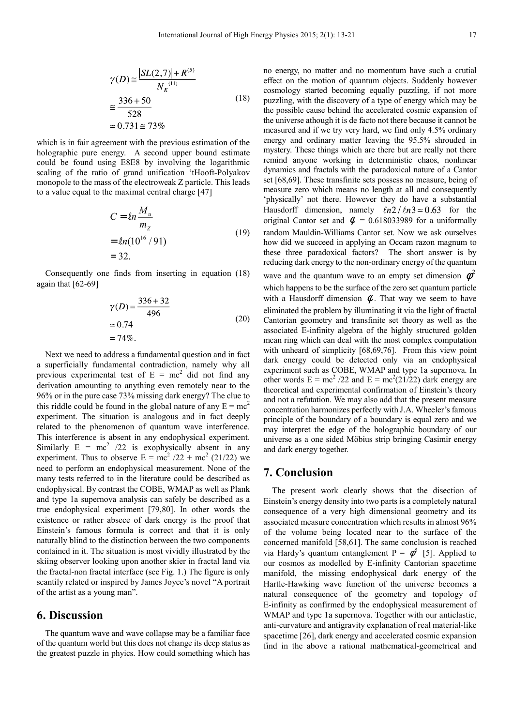$$
\gamma(D) \approx \frac{|SL(2,7)| + R^{(5)}}{N_K^{(11)}}
$$
  

$$
\approx \frac{336 + 50}{528}
$$
  

$$
\approx 0.731 \approx 73\%
$$
 (18)

which is in fair agreement with the previous estimation of the holographic pure energy. A second upper bound estimate could be found using E8E8 by involving the logarithmic scaling of the ratio of grand unification 'tHooft-Polyakov monopole to the mass of the electroweak Z particle. This leads to a value equal to the maximal central charge [47]

$$
C = \ln \frac{M_u}{m_Z}
$$
  
=  $\ln(10^{16}/91)$  (19)  
= 32.

Consequently one finds from inserting in equation (18) again that [62-69]

$$
\gamma(D) = \frac{336 + 32}{496}
$$
  
= 0.74  
= 74%. (20)

Next we need to address a fundamental question and in fact a superficially fundamental contradiction, namely why all previous experimental test of  $E = mc^2$  did not find any derivation amounting to anything even remotely near to the 96% or in the pure case 73% missing dark energy? The clue to this riddle could be found in the global nature of any  $E = mc^2$ experiment. The situation is analogous and in fact deeply related to the phenomenon of quantum wave interference. This interference is absent in any endophysical experiment. Similarly  $E = mc^2$  /22 is exophysically absent in any experiment. Thus to observe  $E = mc^2/22 + mc^2 (21/22)$  we need to perform an endophysical measurement. None of the many tests referred to in the literature could be described as endophysical. By contrast the COBE, WMAP as well as Plank and type 1a supernova analysis can safely be described as a true endophysical experiment [79,80]. In other words the existence or rather absece of dark energy is the proof that Einstein's famous formula is correct and that it is only naturally blind to the distinction between the two components contained in it. The situation is most vividly illustrated by the skiing observer looking upon another skier in fractal land via the fractal-non fractal interface (see Fig. 1.) The figure is only scantily related or inspired by James Joyce's novel "A portrait of the artist as a young man".

### **6. Discussion**

The quantum wave and wave collapse may be a familiar face of the quantum world but this does not change its deep status as the greatest puzzle in phyics. How could something which has

no energy, no matter and no momentum have such a crutial effect on the motion of quantum objects. Suddenly however cosmology started becoming equally puzzling, if not more puzzling, with the discovery of a type of energy which may be the possible cause behind the accelerated cosmic expansion of the universe athough it is de facto not there because it cannot be measured and if we try very hard, we find only 4.5% ordinary energy and ordinary matter leaving the 95.5% shrouded in mystery. These things which are there but are really not there remind anyone working in deterministic chaos, nonlinear dynamics and fractals with the paradoxical nature of a Cantor set [68,69]. These transfinite sets possess no measure, being of measure zero which means no length at all and consequently 'physically' not there. However they do have a substantial Hausdorff dimension, namely  $ln 2 / ln 3 \approx 0.63$  for the original Cantor set and  $\phi = 0.618033989$  for a uniformally random Mauldin-Williams Cantor set. Now we ask ourselves how did we succeed in applying an Occam razon magnum to these three paradoxical factors? The short answer is by reducing dark energy to the non-ordinary energy of the quantum wave and the quantum wave to an empty set dimension  $\phi^2$ which happens to be the surface of the zero set quantum particle with a Hausdorff dimension  $\phi$ . That way we seem to have eliminated the problem by illuminating it via the light of fractal Cantorian geometry and transfinite set theory as well as the associated E-infinity algebra of the highly structured golden mean ring which can deal with the most complex computation with unheard of simplicity [68,69,76]. From this view point dark energy could be detected only via an endophysical experiment such as COBE, WMAP and type 1a supernova. In other words  $E = mc^2/22$  and  $E = mc^2(21/22)$  dark energy are theoretical and experimental confirmation of Einstein's theory and not a refutation. We may also add that the present measure concentration harmonizes perfectly with J.A. Wheeler's famous principle of the boundary of a boundary is equal zero and we may interpret the edge of the holographic boundary of our universe as a one sided Möbius strip bringing Casimir energy and dark energy together.

### **7. Conclusion**

The present work clearly shows that the disection of Einstein's energy density into two parts is a completely natural consequence of a very high dimensional geometry and its associated measure concentration which results in almost 96% of the volume being located near to the surface of the concerned manifold [58,61]. The same conclusion is reached via Hardy's quantum entanglement  $P = \phi^5$  [5]. Applied to our cosmos as modelled by E-infinity Cantorian spacetime manifold, the missing endophysical dark energy of the Hartle-Hawking wave function of the universe becomes a natural consequence of the geometry and topology of E-infinity as confirmed by the endophysical measurement of WMAP and type 1a supernova. Together with our anticlastic, anti-curvature and antigravity explanation of real material-like spacetime [26], dark energy and accelerated cosmic expansion find in the above a rational mathematical-geometrical and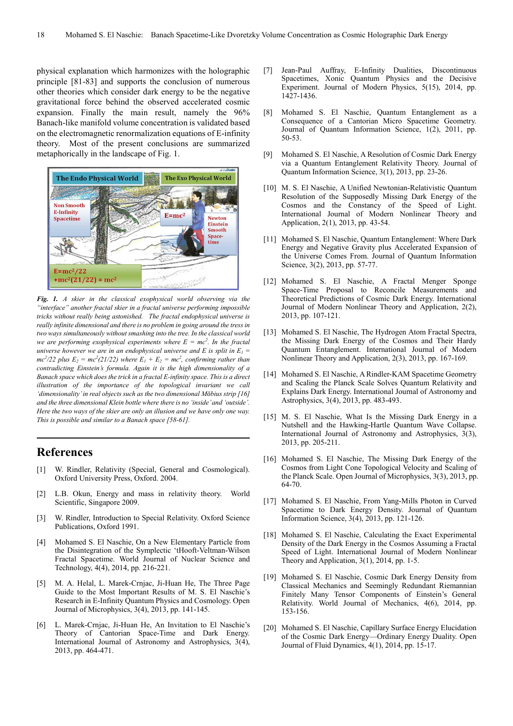physical explanation which harmonizes with the holographic principle [81-83] and supports the conclusion of numerous other theories which consider dark energy to be the negative gravitational force behind the observed accelerated cosmic expansion. Finally the main result, namely the 96% Banach-like manifold volume concentration is validated based on the electromagnetic renormalization equations of E-infinity theory. Most of the present conclusions are summarized metaphorically in the landscape of Fig. 1.



*Fig. 1. A skier in the classical exophysical world observing via the "interface" another fractal skier in a fractal universe performing impossible tricks without really being astonished. The fractal endophysical universe is really infinite dimensional and there is no problem in going around the tress in two ways simultaneously without smashing into the tree. In the classical world we are performing exophysical experiments where*  $E = mc^2$ *. In the fractal universe however we are in an endophysical universe and E is split in*  $E_1$  =  $mc^2/22$  plus  $E_2 = mc^2(21/22)$  where  $E_1 + E_2 = mc^2$ , confirming rather than *contradicting Einstein's formula. Again it is the high dimensionality of a Banach space which does the trick in a fractal E-infinity space. This is a direct illustration of the importance of the topological invariant we call 'dimensionality' in real objects such as the two dimensional Möbius strip [16] and the three dimensional Klein bottle where there is no 'inside' and 'outside'. Here the two ways of the skier are only an illusion and we have only one way. This is possible and similar to a Banach space [58-61].* 

### **References**

- [1] W. Rindler, Relativity (Special, General and Cosmological). Oxford University Press, Oxford. 2004.
- [2] L.B. Okun, Energy and mass in relativity theory. World Scientific, Singapore 2009.
- [3] W. Rindler, Introduction to Special Relativity. Oxford Science Publications, Oxford 1991.
- [4] Mohamed S. El Naschie, On a New Elementary Particle from the Disintegration of the Symplectic 'tHooft-Veltman-Wilson Fractal Spacetime. World Journal of Nuclear Science and Technology, 4(4), 2014, pp. 216-221.
- [5] M. A. Helal, L. Marek-Crnjac, Ji-Huan He, The Three Page Guide to the Most Important Results of M. S. El Naschie's Research in E-Infinity Quantum Physics and Cosmology. Open Journal of Microphysics, 3(4), 2013, pp. 141-145.
- [6] L. Marek-Crnjac, Ji-Huan He, An Invitation to El Naschie's Theory of Cantorian Space-Time and Dark Energy. International Journal of Astronomy and Astrophysics, 3(4), 2013, pp. 464-471.
- [7] Jean-Paul Auffray, E-Infinity Dualities, Discontinuous Spacetimes, Xonic Quantum Physics and the Decisive Experiment. Journal of Modern Physics, 5(15), 2014, pp. 1427-1436.
- [8] Mohamed S. El Naschie, Quantum Entanglement as a Consequence of a Cantorian Micro Spacetime Geometry. Journal of Quantum Information Science, 1(2), 2011, pp. 50-53.
- [9] Mohamed S. El Naschie, A Resolution of Cosmic Dark Energy via a Quantum Entanglement Relativity Theory. Journal of Quantum Information Science, 3(1), 2013, pp. 23-26.
- [10] M. S. El Naschie, A Unified Newtonian-Relativistic Quantum Resolution of the Supposedly Missing Dark Energy of the Cosmos and the Constancy of the Speed of Light. International Journal of Modern Nonlinear Theory and Application, 2(1), 2013, pp. 43-54.
- [11] Mohamed S. El Naschie, Quantum Entanglement: Where Dark Energy and Negative Gravity plus Accelerated Expansion of the Universe Comes From. Journal of Quantum Information Science, 3(2), 2013, pp. 57-77.
- [12] Mohamed S. El Naschie, A Fractal Menger Sponge Space-Time Proposal to Reconcile Measurements and Theoretical Predictions of Cosmic Dark Energy. International Journal of Modern Nonlinear Theory and Application, 2(2), 2013, pp. 107-121.
- [13] Mohamed S. El Naschie, The Hydrogen Atom Fractal Spectra, the Missing Dark Energy of the Cosmos and Their Hardy Quantum Entanglement. International Journal of Modern Nonlinear Theory and Application, 2(3), 2013, pp. 167-169.
- [14] Mohamed S. El Naschie, A Rindler-KAM Spacetime Geometry and Scaling the Planck Scale Solves Quantum Relativity and Explains Dark Energy. International Journal of Astronomy and Astrophysics, 3(4), 2013, pp. 483-493.
- [15] M. S. El Naschie, What Is the Missing Dark Energy in a Nutshell and the Hawking-Hartle Quantum Wave Collapse. International Journal of Astronomy and Astrophysics,  $3(3)$ , 2013, pp. 205-211.
- [16] Mohamed S. El Naschie, The Missing Dark Energy of the Cosmos from Light Cone Topological Velocity and Scaling of the Planck Scale. Open Journal of Microphysics, 3(3), 2013, pp. 64-70.
- [17] Mohamed S. El Naschie, From Yang-Mills Photon in Curved Spacetime to Dark Energy Density. Journal of Quantum Information Science, 3(4), 2013, pp. 121-126.
- [18] Mohamed S. El Naschie, Calculating the Exact Experimental Density of the Dark Energy in the Cosmos Assuming a Fractal Speed of Light. International Journal of Modern Nonlinear Theory and Application, 3(1), 2014, pp. 1-5.
- [19] Mohamed S. El Naschie, Cosmic Dark Energy Density from Classical Mechanics and Seemingly Redundant Riemannian Finitely Many Tensor Components of Einstein's General Relativity. World Journal of Mechanics, 4(6), 2014, pp. 153-156.
- [20] Mohamed S. El Naschie, Capillary Surface Energy Elucidation of the Cosmic Dark Energy—Ordinary Energy Duality. Open Journal of Fluid Dynamics, 4(1), 2014, pp. 15-17.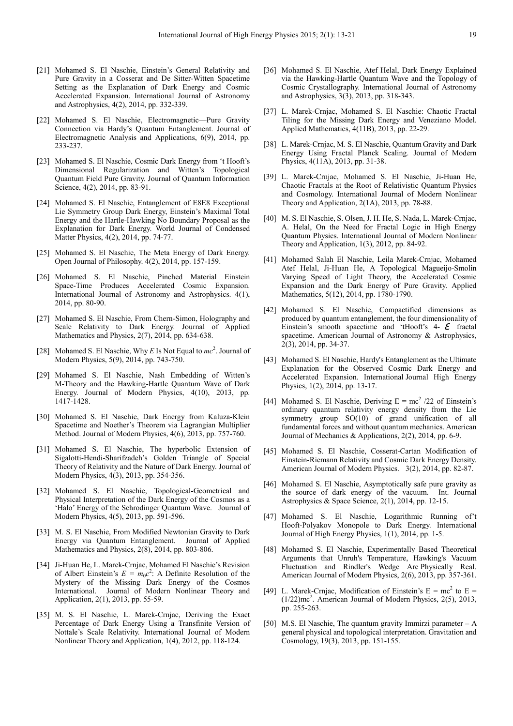- [21] Mohamed S. El Naschie, Einstein's General Relativity and Pure Gravity in a Cosserat and De Sitter-Witten Spacetime Setting as the Explanation of Dark Energy and Cosmic Accelerated Expansion. International Journal of Astronomy and Astrophysics, 4(2), 2014, pp. 332-339.
- [22] Mohamed S. El Naschie, Electromagnetic—Pure Gravity Connection via Hardy's Quantum Entanglement. Journal of Electromagnetic Analysis and Applications, 6(9), 2014, pp. 233-237.
- [23] Mohamed S. El Naschie, Cosmic Dark Energy from 't Hooft's Dimensional Regularization and Witten's Topological Quantum Field Pure Gravity. Journal of Quantum Information Science, 4(2), 2014, pp. 83-91.
- [24] Mohamed S. El Naschie, Entanglement of E8E8 Exceptional Lie Symmetry Group Dark Energy, Einstein's Maximal Total Energy and the Hartle-Hawking No Boundary Proposal as the Explanation for Dark Energy. World Journal of Condensed Matter Physics, 4(2), 2014, pp. 74-77.
- [25] Mohamed S. El Naschie, The Meta Energy of Dark Energy. Open Journal of Philosophy. 4(2), 2014, pp. 157-159.
- [26] Mohamed S. El Naschie, Pinched Material Einstein Space-Time Produces Accelerated Cosmic Expansion. International Journal of Astronomy and Astrophysics. 4(1), 2014, pp. 80-90.
- [27] Mohamed S. El Naschie, From Chern-Simon, Holography and Scale Relativity to Dark Energy. Journal of Applied Mathematics and Physics, 2(7), 2014, pp. 634-638.
- [28] Mohamed S. El Naschie, Why *E* Is Not Equal to *mc*<sup>2</sup> . Journal of Modern Physics, 5(9), 2014, pp. 743-750.
- [29] Mohamed S. El Naschie, Nash Embedding of Witten's M-Theory and the Hawking-Hartle Quantum Wave of Dark Energy. Journal of Modern Physics, 4(10), 2013, pp. 1417-1428.
- [30] Mohamed S. El Naschie, Dark Energy from Kaluza-Klein Spacetime and Noether's Theorem via Lagrangian Multiplier Method. Journal of Modern Physics,  $4(6)$ ,  $2013$ , pp. 757-7 $60$ .
- [31] Mohamed S. El Naschie, The hyperbolic Extension of Sigalotti-Hendi-Sharifzadeh's Golden Triangle of Special Theory of Relativity and the Nature of Dark Energy. Journal of Modern Physics, 4(3), 2013, pp. 354-356.
- [32] Mohamed S. El Naschie, Topological-Geometrical and Physical Interpretation of the Dark Energy of the Cosmos as a 'Halo' Energy of the Schrodinger Quantum Wave. Journal of Modern Physics, 4(5), 2013, pp. 591-596.
- [33] M. S. El Naschie, From Modified Newtonian Gravity to Dark Energy via Quantum Entanglement. Journal of Applied Mathematics and Physics, 2(8), 2014, pp. 803-806.
- [34] Ji-Huan He, L. Marek-Crnjac, Mohamed El Naschie's Revision of Albert Einstein's  $E = m_0 c^2$ : A Definite Resolution of the Mystery of the Missing Dark Energy of the Cosmos International. Journal of Modern Nonlinear Theory and Application, 2(1), 2013, pp. 55-59.
- [35] M. S. El Naschie, L. Marek-Crnjac, Deriving the Exact Percentage of Dark Energy Using a Transfinite Version of Nottale's Scale Relativity. International Journal of Modern Nonlinear Theory and Application, 1(4), 2012, pp. 118-124.
- [36] Mohamed S. El Naschie, Atef Helal, Dark Energy Explained via the Hawking-Hartle Quantum Wave and the Topology of Cosmic Crystallography. International Journal of Astronomy and Astrophysics, 3(3), 2013, pp. 318-343.
- [37] L. Marek-Crnjac, Mohamed S. El Naschie: Chaotic Fractal Tiling for the Missing Dark Energy and Veneziano Model. Applied Mathematics, 4(11B), 2013, pp. 22-29.
- [38] L. Marek-Crnjac, M. S. El Naschie, Quantum Gravity and Dark Energy Using Fractal Planck Scaling. Journal of Modern Physics, 4(11A), 2013, pp. 31-38.
- [39] L. Marek-Crnjac, Mohamed S. El Naschie, Ji-Huan He, Chaotic Fractals at the Root of Relativistic Quantum Physics and Cosmology. International Journal of Modern Nonlinear Theory and Application, 2(1A), 2013, pp. 78-88.
- [40] M. S. El Naschie, S. Olsen, J. H. He, S. Nada, L. Marek-Crnjac, A. Helal, On the Need for Fractal Logic in High Energy Quantum Physics. International Journal of Modern Nonlinear Theory and Application, 1(3), 2012, pp. 84-92.
- [41] Mohamed Salah El Naschie, Leila Marek-Crnjac, Mohamed Atef Helal, Ji-Huan He, A Topological Magueijo-Smolin Varying Speed of Light Theory, the Accelerated Cosmic Expansion and the Dark Energy of Pure Gravity. Applied Mathematics, 5(12), 2014, pp. 1780-1790.
- [42] Mohamed S. El Naschie, Compactified dimensions as produced by quantum entanglement, the four dimensionality of Einstein's smooth spacetime and 'tHooft's  $4 - \mathcal{E}$  fractal spacetime. American Journal of Astronomy & Astrophysics, 2(3), 2014, pp. 34-37.
- [43] Mohamed S. El Naschie, Hardy's Entanglement as the Ultimate Explanation for the Observed Cosmic Dark Energy and Accelerated Expansion. International Journal High Energy Physics, 1(2), 2014, pp. 13-17.
- [44] Mohamed S. El Naschie, Deriving  $E = mc^2 / 22$  of Einstein's ordinary quantum relativity energy density from the Lie symmetry group SO(10) of grand unification of all fundamental forces and without quantum mechanics. American Journal of Mechanics & Applications, 2(2), 2014, pp. 6-9.
- [45] Mohamed S. El Naschie, Cosserat-Cartan Modification of Einstein-Riemann Relativity and Cosmic Dark Energy Density. American Journal of Modern Physics. 3(2), 2014, pp. 82-87.
- [46] Mohamed S. El Naschie, Asymptotically safe pure gravity as the source of dark energy of the vacuum. Int. Journal Astrophysics & Space Science, 2(1), 2014, pp. 12-15.
- [47] Mohamed S. El Naschie, Logarithmic Running of't Hooft-Polyakov Monopole to Dark Energy. International Journal of High Energy Physics, 1(1), 2014, pp. 1-5.
- [48] Mohamed S. El Naschie, Experimentally Based Theoretical Arguments that Unruh's Temperature, Hawking's Vacuum Fluctuation and Rindler's Wedge Are Physically Real. American Journal of Modern Physics, 2(6), 2013, pp. 357-361.
- [49] L. Marek-Crnjac, Modification of Einstein's  $E = mc^2$  to  $E =$  $(1/22)$ mc<sup>2</sup>. American Journal of Modern Physics,  $2(5)$ ,  $2013$ , pp. 255-263.
- [50] M.S. El Naschie, The quantum gravity Immirzi parameter A general physical and topological interpretation. Gravitation and Cosmology, 19(3), 2013, pp. 151-155.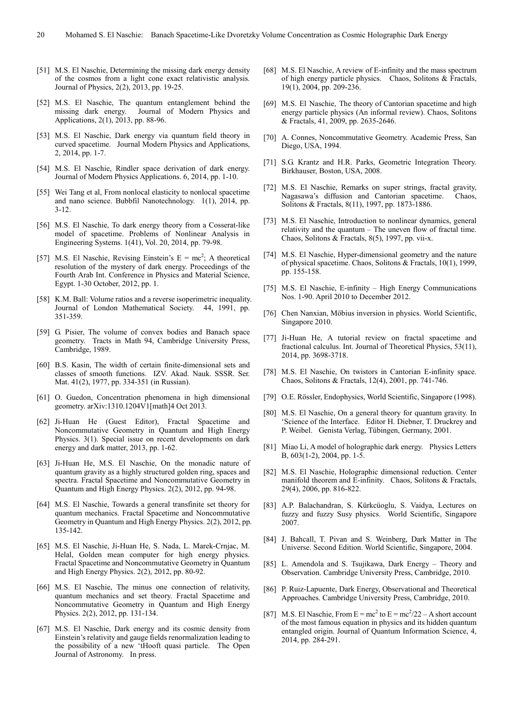- [51] M.S. El Naschie, Determining the missing dark energy density of the cosmos from a light cone exact relativistic analysis. Journal of Physics, 2(2), 2013, pp. 19-25.
- [52] M.S. El Naschie, The quantum entanglement behind the missing dark energy. Journal of Modern Physics and Applications, 2(1), 2013, pp. 88-96.
- [53] M.S. El Naschie, Dark energy via quantum field theory in curved spacetime. Journal Modern Physics and Applications, 2, 2014, pp. 1-7.
- [54] M.S. El Naschie, Rindler space derivation of dark energy. Journal of Modern Physics Applications. 6, 2014, pp. 1-10.
- [55] Wei Tang et al, From nonlocal elasticity to nonlocal spacetime and nano science. Bubbfil Nanotechnology. 1(1), 2014, pp. 3-12.
- [56] M.S. El Naschie, To dark energy theory from a Cosserat-like model of spacetime. Problems of Nonlinear Analysis in Engineering Systems. 1(41), Vol. 20, 2014, pp. 79-98.
- [57] M.S. El Naschie, Revising Einstein's  $E = mc^2$ ; A theoretical resolution of the mystery of dark energy. Proceedings of the Fourth Arab Int. Conference in Physics and Material Science, Egypt. 1-30 October, 2012, pp. 1.
- [58] K.M. Ball: Volume ratios and a reverse isoperimetric inequality. Journal of London Mathematical Society. 44, 1991, pp. 351-359.
- [59] G. Pisier, The volume of convex bodies and Banach space geometry. Tracts in Math 94, Cambridge University Press, Cambridge, 1989.
- [60] B.S. Kasin, The width of certain finite-dimensional sets and classes of smooth functions. IZV. Akad. Nauk. SSSR. Ser. Mat. 41(2), 1977, pp. 334-351 (in Russian).
- [61] O. Guedon, Concentration phenomena in high dimensional geometry. arXiv:1310.1204V1[math]4 Oct 2013.
- [62] Ji-Huan He (Guest Editor), Fractal Spacetime and Noncommutative Geometry in Quantum and High Energy Physics. 3(1). Special issue on recent developments on dark energy and dark matter, 2013, pp. 1-62.
- [63] Ji-Huan He, M.S. El Naschie, On the monadic nature of quantum gravity as a highly structured golden ring, spaces and spectra. Fractal Spacetime and Noncommutative Geometry in Quantum and High Energy Physics. 2(2), 2012, pp. 94-98.
- [64] M.S. El Naschie, Towards a general transfinite set theory for quantum mechanics. Fractal Spacetime and Noncommutative Geometry in Quantum and High Energy Physics. 2(2), 2012, pp. 135-142.
- [65] M.S. El Naschie, Ji-Huan He, S. Nada, L. Marek-Crnjac, M. Helal, Golden mean computer for high energy physics. Fractal Spacetime and Noncommutative Geometry in Quantum and High Energy Physics. 2(2), 2012, pp. 80-92.
- [66] M.S. El Naschie, The minus one connection of relativity, quantum mechanics and set theory. Fractal Spacetime and Noncommutative Geometry in Quantum and High Energy Physics. 2(2), 2012, pp. 131-134.
- [67] M.S. El Naschie, Dark energy and its cosmic density from Einstein's relativity and gauge fields renormalization leading to the possibility of a new 'tHooft quasi particle. The Open Journal of Astronomy. In press.
- [68] M.S. El Naschie, A review of E-infinity and the mass spectrum of high energy particle physics. Chaos, Solitons & Fractals, 19(1), 2004, pp. 209-236.
- [69] M.S. El Naschie, The theory of Cantorian spacetime and high energy particle physics (An informal review). Chaos, Solitons & Fractals, 41, 2009, pp. 2635-2646.
- [70] A. Connes, Noncommutative Geometry. Academic Press, San Diego, USA, 1994.
- [71] S.G. Krantz and H.R. Parks, Geometric Integration Theory. Birkhauser, Boston, USA, 2008.
- [72] M.S. El Naschie, Remarks on super strings, fractal gravity, Nagasawa's diffusion and Cantorian spacetime. Chaos, Solitons & Fractals, 8(11), 1997, pp. 1873-1886.
- [73] M.S. El Naschie, Introduction to nonlinear dynamics, general relativity and the quantum – The uneven flow of fractal time. Chaos, Solitons & Fractals, 8(5), 1997, pp. vii-x.
- [74] M.S. El Naschie, Hyper-dimensional geometry and the nature of physical spacetime. Chaos, Solitons & Fractals, 10(1), 1999, pp. 155-158.
- [75] M.S. El Naschie, E-infinity High Energy Communications Nos. 1-90. April 2010 to December 2012.
- [76] Chen Nanxian, Möbius inversion in physics. World Scientific, Singapore 2010.
- [77] Ji-Huan He, A tutorial review on fractal spacetime and fractional calculus. Int. Journal of Theoretical Physics, 53(11), 2014, pp. 3698-3718.
- [78] M.S. El Naschie, On twistors in Cantorian E-infinity space. Chaos, Solitons & Fractals, 12(4), 2001, pp. 741-746.
- [79] O.E. Rössler, Endophysics, World Scientific, Singapore (1998).
- [80] M.S. El Naschie, On a general theory for quantum gravity. In 'Science of the Interface. Editor H. Diebner, T. Druckrey and P. Weibel. Genista Verlag, Tübingen, Germany, 2001.
- [81] Miao Li, A model of holographic dark energy. Physics Letters B, 603(1-2), 2004, pp. 1-5.
- [82] M.S. El Naschie, Holographic dimensional reduction. Center manifold theorem and E-infinity. Chaos, Solitons & Fractals, 29(4), 2006, pp. 816-822.
- [83] A.P. Balachandran, S. Kürkcüoglu, S. Vaidya, Lectures on fuzzy and fuzzy Susy physics. World Scientific, Singapore 2007.
- [84] J. Bahcall, T. Pivan and S. Weinberg, Dark Matter in The Universe. Second Edition. World Scientific, Singapore, 2004.
- [85] L. Amendola and S. Tsujikawa, Dark Energy Theory and Observation. Cambridge University Press, Cambridge, 2010.
- [86] P. Ruiz-Lapuente, Dark Energy, Observational and Theoretical Approaches. Cambridge University Press, Cambridge, 2010.
- [87] M.S. El Naschie, From  $E = mc^2$  to  $E = mc^2/22 A$  short account of the most famous equation in physics and its hidden quantum entangled origin. Journal of Quantum Information Science, 4, 2014, pp. 284-291.